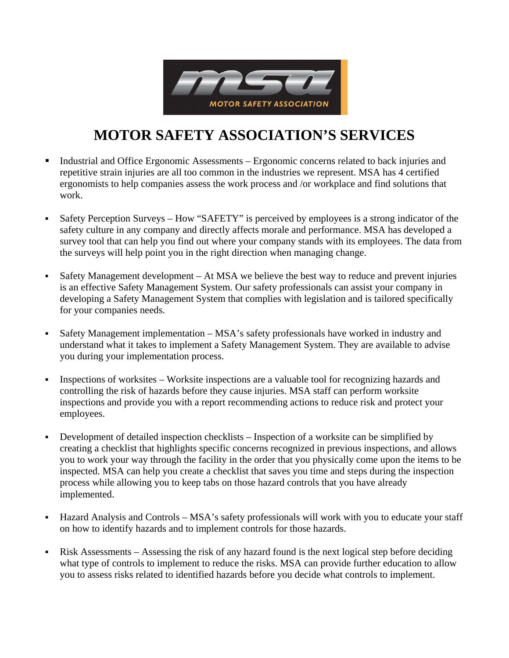

## **MOTOR SAFETY ASSOCIATION'S SERVICES**

- Industrial and Office Ergonomic Assessments Ergonomic concerns related to back injuries and repetitive strain injuries are all too common in the industries we represent. MSA has 4 certified ergonomists to help companies assess the work process and /or workplace and find solutions that work.
- Safety Perception Surveys How "SAFETY" is perceived by employees is a strong indicator of the safety culture in any company and directly affects morale and performance. MSA has developed a survey tool that can help you find out where your company stands with its employees. The d ata from the surveys will help point you in the right direction when managing change.
- Safety Management development At MSA we believe the best way to reduce and prevent injuries developing a Safety Management System that complies with legislation and is tailored specifically is an effective Safety Management System. Our safety professionals can assist your company in for your companies needs.
- Safety Management implementation MSA's safety professionals have worked in industry and understand what it takes to implement a Safety Management System. They are available to advise you during your implementation process.
- Inspections of worksites Worksite inspections are a valuable tool for recognizing hazards and inspections and provide you with a report recommending actions to reduce risk and protect your controlling the risk of hazards before they cause injuries. MSA staff can perform worksite employees.
- Development of detailed inspection checklists Inspection of a worksite can be simplified by creating a checklist that highlights specific concerns recognized in previous inspections, and allows you to work your way through the facility in the order that you physically come upon the items to be inspected. MSA can help you create a checklist that saves you time and steps during the inspection process while allowing you to keep tabs on those hazard controls that you have already implemented.
- Hazard Analysis and Controls MSA's safety professionals will work with you to educate your staff on how to identify hazards and to implement controls for those hazards.
- Risk Assessments Assessing the risk of any hazard found is the next logical step before deciding what type of controls to implement to reduce the risks. MSA can provide further education to allow you to assess risks related to identified hazards before you decide what controls to implement.